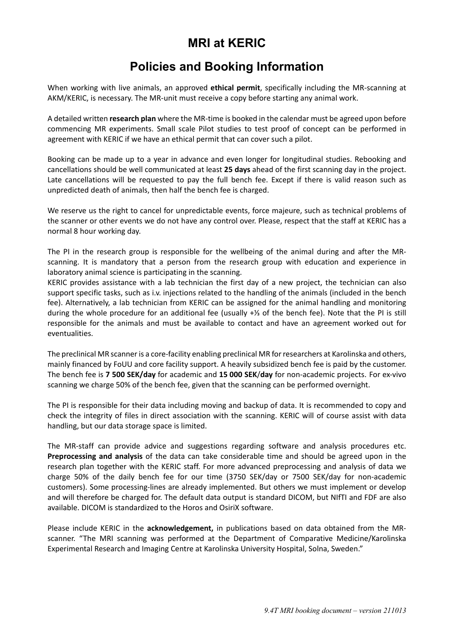# **MRI at KERIC**

## **Policies and Booking Information**

When working with live animals, an approved **ethical permit**, specifically including the MR-scanning at AKM/KERIC, is necessary. The MR-unit must receive a copy before starting any animal work.

A detailed written **research plan** where the MR-time is booked in the calendar must be agreed upon before commencing MR experiments. Small scale Pilot studies to test proof of concept can be performed in agreement with KERIC if we have an ethical permit that can cover such a pilot.

Booking can be made up to a year in advance and even longer for longitudinal studies. Rebooking and cancellations should be well communicated at least **25 days** ahead of the first scanning day in the project. Late cancellations will be requested to pay the full bench fee. Except if there is valid reason such as unpredicted death of animals, then half the bench fee is charged.

We reserve us the right to cancel for unpredictable events, force majeure, such as technical problems of the scanner or other events we do not have any control over. Please, respect that the staff at KERIC has a normal 8 hour working day.

The PI in the research group is responsible for the wellbeing of the animal during and after the MRscanning. It is mandatory that a person from the research group with education and experience in laboratory animal science is participating in the scanning.

KERIC provides assistance with a lab technician the first day of a new project, the technician can also support specific tasks, such as i.v. injections related to the handling of the animals (included in the bench fee). Alternatively, a lab technician from KERIC can be assigned for the animal handling and monitoring during the whole procedure for an additional fee (usually +⅓ of the bench fee). Note that the PI is still responsible for the animals and must be available to contact and have an agreement worked out for eventualities.

The preclinical MR scanner is a core-facility enabling preclinical MR for researchers at Karolinska and others, mainly financed by FoUU and core facility support. A heavily subsidized bench fee is paid by the customer. The bench fee is **7 500 SEK/day** for academic and **15 000 SEK**/**day** for non-academic projects. For ex-vivo scanning we charge 50% of the bench fee, given that the scanning can be performed overnight.

The PI is responsible for their data including moving and backup of data. It is recommended to copy and check the integrity of files in direct association with the scanning. KERIC will of course assist with data handling, but our data storage space is limited.

The MR-staff can provide advice and suggestions regarding software and analysis procedures etc. **Preprocessing and analysis** of the data can take considerable time and should be agreed upon in the research plan together with the KERIC staff. For more advanced preprocessing and analysis of data we charge 50% of the daily bench fee for our time (3750 SEK/day or 7500 SEK/day for non-academic customers). Some processing-lines are already implemented. But others we must implement or develop and will therefore be charged for. The default data output is standard DICOM, but NIfTI and FDF are also available. DICOM is standardized to the Horos and OsiriX software.

Please include KERIC in the **acknowledgement,** in publications based on data obtained from the MRscanner. "The MRI scanning was performed at the Department of Comparative Medicine/Karolinska Experimental Research and Imaging Centre at Karolinska University Hospital, Solna, Sweden."